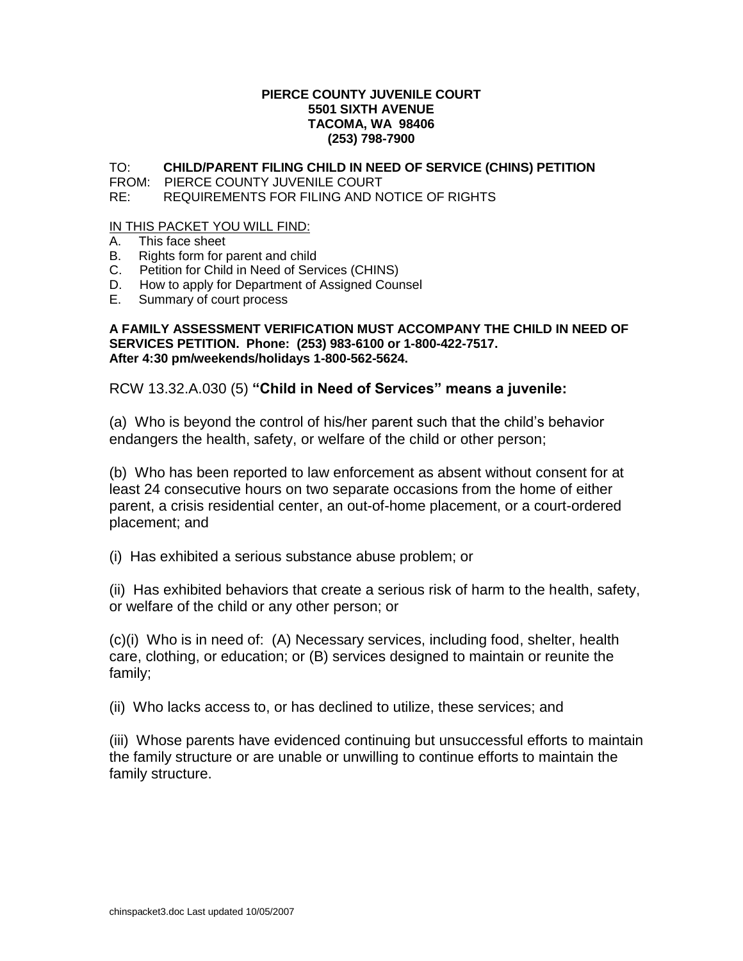#### **PIERCE COUNTY JUVENILE COURT 5501 SIXTH AVENUE TACOMA, WA 98406 (253) 798-7900**

#### TO: **CHILD/PARENT FILING CHILD IN NEED OF SERVICE (CHINS) PETITION**

FROM: PIERCE COUNTY JUVENILE COURT

RE: REQUIREMENTS FOR FILING AND NOTICE OF RIGHTS

#### IN THIS PACKET YOU WILL FIND:

- A. This face sheet
- B. Rights form for parent and child
- C. Petition for Child in Need of Services (CHINS)
- D. How to apply for Department of Assigned Counsel
- E. Summary of court process

**A FAMILY ASSESSMENT VERIFICATION MUST ACCOMPANY THE CHILD IN NEED OF SERVICES PETITION. Phone: (253) 983-6100 or 1-800-422-7517. After 4:30 pm/weekends/holidays 1-800-562-5624.**

RCW 13.32.A.030 (5) **"Child in Need of Services" means a juvenile:**

(a) Who is beyond the control of his/her parent such that the child's behavior endangers the health, safety, or welfare of the child or other person;

(b) Who has been reported to law enforcement as absent without consent for at least 24 consecutive hours on two separate occasions from the home of either parent, a crisis residential center, an out-of-home placement, or a court-ordered placement; and

(i) Has exhibited a serious substance abuse problem; or

(ii) Has exhibited behaviors that create a serious risk of harm to the health, safety, or welfare of the child or any other person; or

(c)(i) Who is in need of: (A) Necessary services, including food, shelter, health care, clothing, or education; or (B) services designed to maintain or reunite the family;

(ii) Who lacks access to, or has declined to utilize, these services; and

(iii) Whose parents have evidenced continuing but unsuccessful efforts to maintain the family structure or are unable or unwilling to continue efforts to maintain the family structure.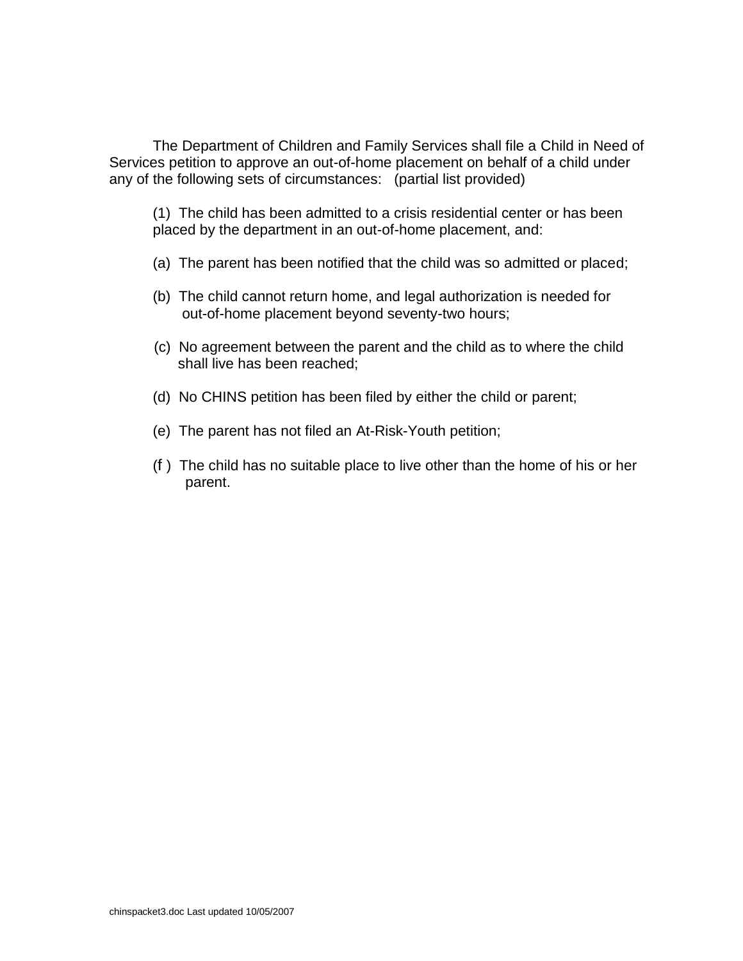The Department of Children and Family Services shall file a Child in Need of Services petition to approve an out-of-home placement on behalf of a child under any of the following sets of circumstances: (partial list provided)

(1) The child has been admitted to a crisis residential center or has been placed by the department in an out-of-home placement, and:

- (a) The parent has been notified that the child was so admitted or placed;
- (b) The child cannot return home, and legal authorization is needed for out-of-home placement beyond seventy-two hours;
- (c) No agreement between the parent and the child as to where the child shall live has been reached;
- (d) No CHINS petition has been filed by either the child or parent;
- (e) The parent has not filed an At-Risk-Youth petition;
- (f ) The child has no suitable place to live other than the home of his or her parent.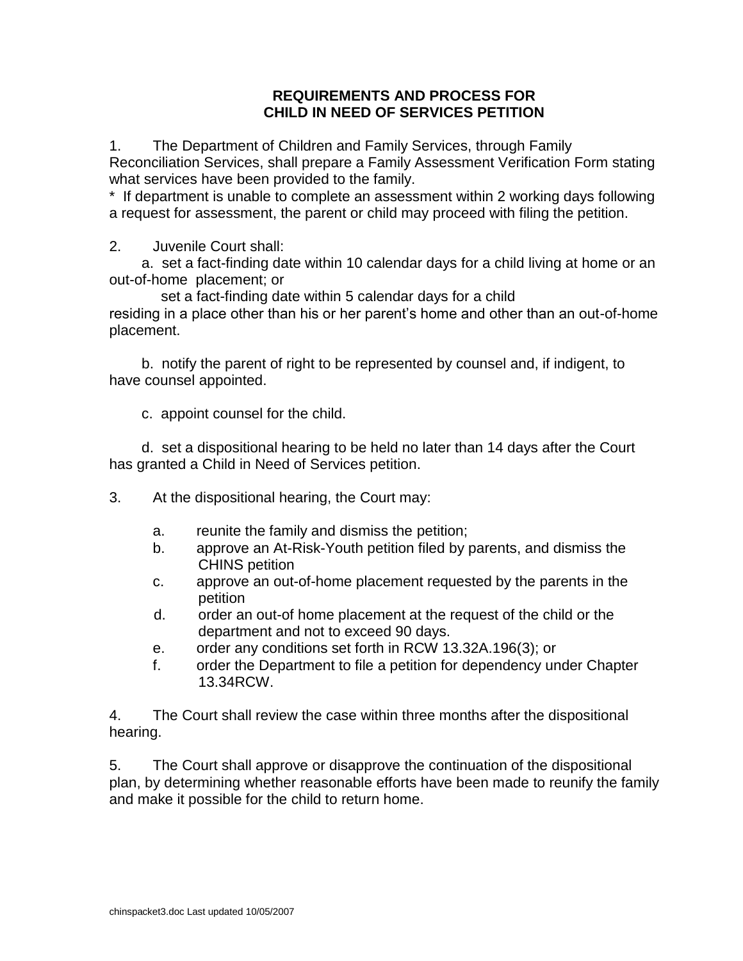# **REQUIREMENTS AND PROCESS FOR CHILD IN NEED OF SERVICES PETITION**

1. The Department of Children and Family Services, through Family Reconciliation Services, shall prepare a Family Assessment Verification Form stating what services have been provided to the family.

\* If department is unable to complete an assessment within 2 working days following a request for assessment, the parent or child may proceed with filing the petition.

2. Juvenile Court shall:

 a. set a fact-finding date within 10 calendar days for a child living at home or an out-of-home placement; or

set a fact-finding date within 5 calendar days for a child residing in a place other than his or her parent's home and other than an out-of-home placement.

 b. notify the parent of right to be represented by counsel and, if indigent, to have counsel appointed.

c. appoint counsel for the child.

 d. set a dispositional hearing to be held no later than 14 days after the Court has granted a Child in Need of Services petition.

- 3. At the dispositional hearing, the Court may:
	- a. reunite the family and dismiss the petition;
	- b. approve an At-Risk-Youth petition filed by parents, and dismiss the CHINS petition
	- c. approve an out-of-home placement requested by the parents in the petition
	- d. order an out-of home placement at the request of the child or the department and not to exceed 90 days.
	- e. order any conditions set forth in RCW 13.32A.196(3); or
	- f. order the Department to file a petition for dependency under Chapter 13.34RCW.

4. The Court shall review the case within three months after the dispositional hearing.

5. The Court shall approve or disapprove the continuation of the dispositional plan, by determining whether reasonable efforts have been made to reunify the family and make it possible for the child to return home.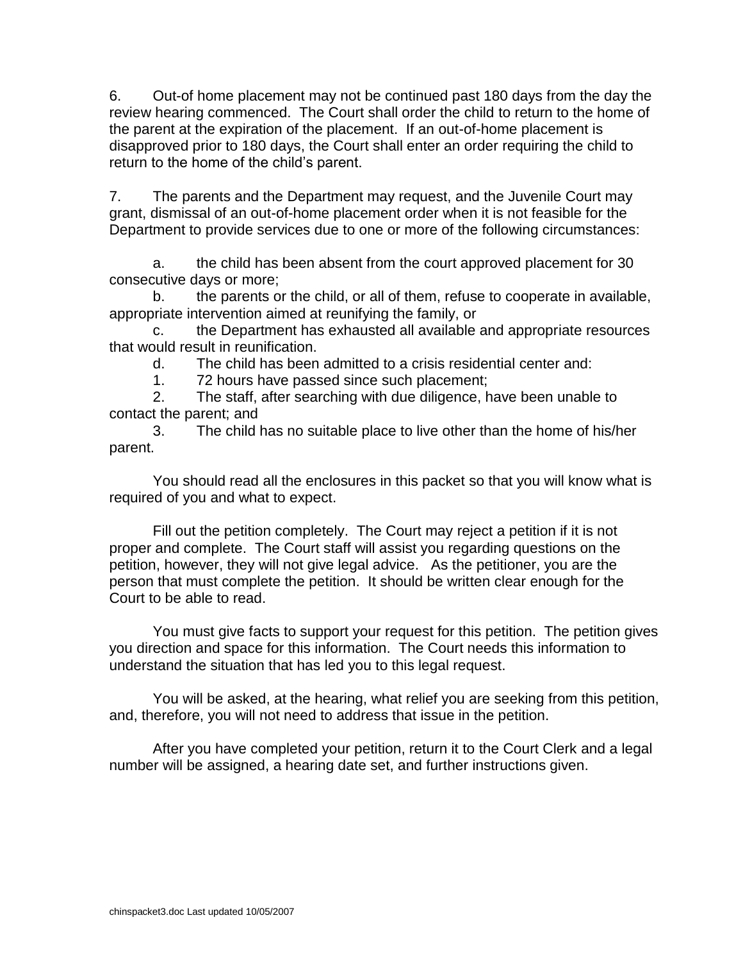6. Out-of home placement may not be continued past 180 days from the day the review hearing commenced. The Court shall order the child to return to the home of the parent at the expiration of the placement. If an out-of-home placement is disapproved prior to 180 days, the Court shall enter an order requiring the child to return to the home of the child's parent.

7. The parents and the Department may request, and the Juvenile Court may grant, dismissal of an out-of-home placement order when it is not feasible for the Department to provide services due to one or more of the following circumstances:

a. the child has been absent from the court approved placement for 30 consecutive days or more;

b. the parents or the child, or all of them, refuse to cooperate in available, appropriate intervention aimed at reunifying the family, or

c. the Department has exhausted all available and appropriate resources that would result in reunification.

d. The child has been admitted to a crisis residential center and:

1. 72 hours have passed since such placement;

2. The staff, after searching with due diligence, have been unable to contact the parent; and

3. The child has no suitable place to live other than the home of his/her parent.

You should read all the enclosures in this packet so that you will know what is required of you and what to expect.

Fill out the petition completely. The Court may reject a petition if it is not proper and complete. The Court staff will assist you regarding questions on the petition, however, they will not give legal advice. As the petitioner, you are the person that must complete the petition. It should be written clear enough for the Court to be able to read.

You must give facts to support your request for this petition. The petition gives you direction and space for this information. The Court needs this information to understand the situation that has led you to this legal request.

You will be asked, at the hearing, what relief you are seeking from this petition, and, therefore, you will not need to address that issue in the petition.

After you have completed your petition, return it to the Court Clerk and a legal number will be assigned, a hearing date set, and further instructions given.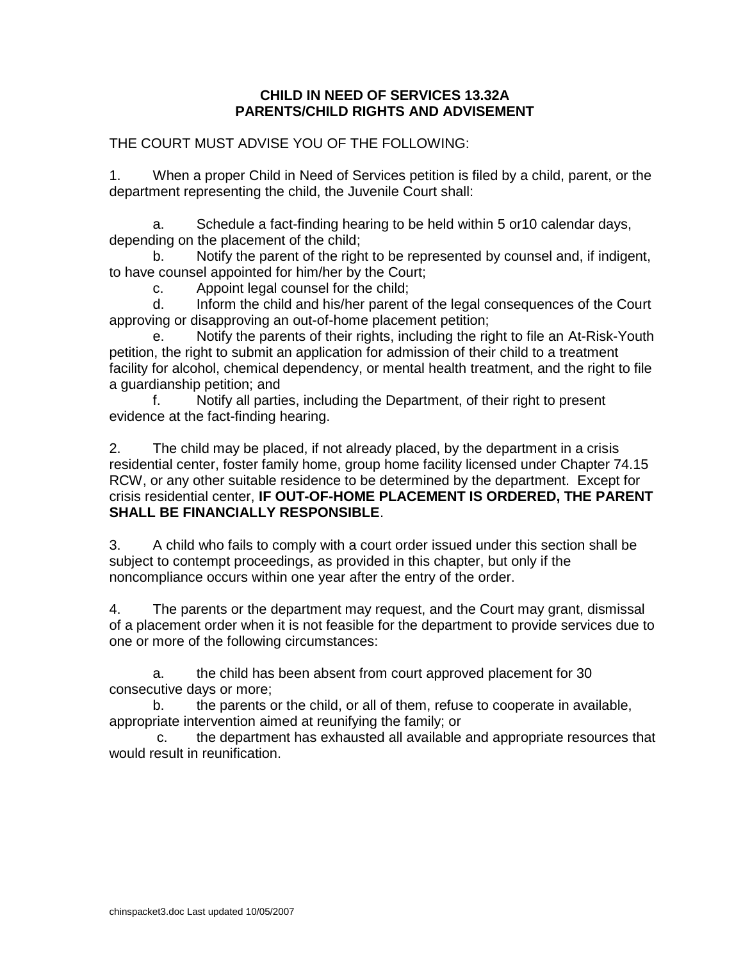## **CHILD IN NEED OF SERVICES 13.32A PARENTS/CHILD RIGHTS AND ADVISEMENT**

THE COURT MUST ADVISE YOU OF THE FOLLOWING:

1. When a proper Child in Need of Services petition is filed by a child, parent, or the department representing the child, the Juvenile Court shall:

a. Schedule a fact-finding hearing to be held within 5 or10 calendar days, depending on the placement of the child;

b. Notify the parent of the right to be represented by counsel and, if indigent, to have counsel appointed for him/her by the Court;

c. Appoint legal counsel for the child;

d. Inform the child and his/her parent of the legal consequences of the Court approving or disapproving an out-of-home placement petition;

e. Notify the parents of their rights, including the right to file an At-Risk-Youth petition, the right to submit an application for admission of their child to a treatment facility for alcohol, chemical dependency, or mental health treatment, and the right to file a guardianship petition; and

f. Notify all parties, including the Department, of their right to present evidence at the fact-finding hearing.

2. The child may be placed, if not already placed, by the department in a crisis residential center, foster family home, group home facility licensed under Chapter 74.15 RCW, or any other suitable residence to be determined by the department. Except for crisis residential center, **IF OUT-OF-HOME PLACEMENT IS ORDERED, THE PARENT SHALL BE FINANCIALLY RESPONSIBLE**.

3. A child who fails to comply with a court order issued under this section shall be subject to contempt proceedings, as provided in this chapter, but only if the noncompliance occurs within one year after the entry of the order.

4. The parents or the department may request, and the Court may grant, dismissal of a placement order when it is not feasible for the department to provide services due to one or more of the following circumstances:

a. the child has been absent from court approved placement for 30 consecutive days or more;

b. the parents or the child, or all of them, refuse to cooperate in available, appropriate intervention aimed at reunifying the family; or

c. the department has exhausted all available and appropriate resources that would result in reunification.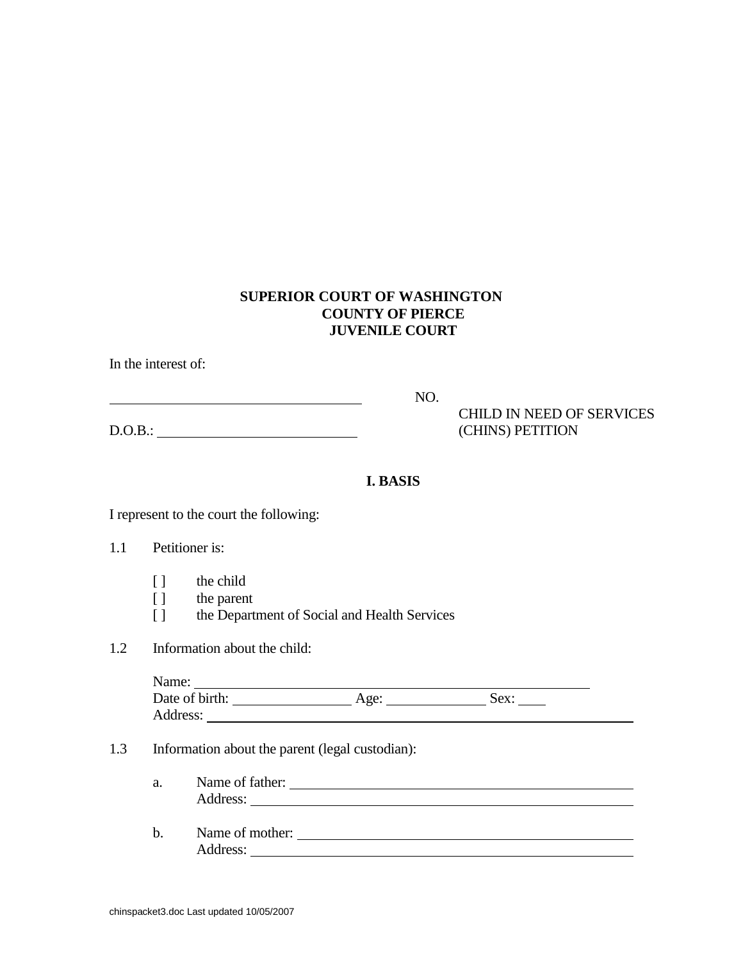## **SUPERIOR COURT OF WASHINGTON COUNTY OF PIERCE JUVENILE COURT**

In the interest of:

| . .<br>× | ۰, |  |
|----------|----|--|
| .,       |    |  |
|          |    |  |

D.O.B.: (CHINS) PETITION

No. 2008. No. 2008. No. 2008. No. 2008. No. 2008. No. 2008. No. 2008. No. 2008. No. 2008. No. 2008. No. 2008.

CHILD IN NEED OF SERVICES

## **I. BASIS**

I represent to the court the following:

### 1.1 Petitioner is:

- [ ] the child
- [ ] the parent
- [ ] the Department of Social and Health Services
- 1.2 Information about the child:

| Name:          |      |      |  |
|----------------|------|------|--|
| Date of birth: | Age: | Sex: |  |
| Address:       |      |      |  |

### 1.3 Information about the parent (legal custodian):

- a. Name of father: Address:
- b. Name of mother: Address: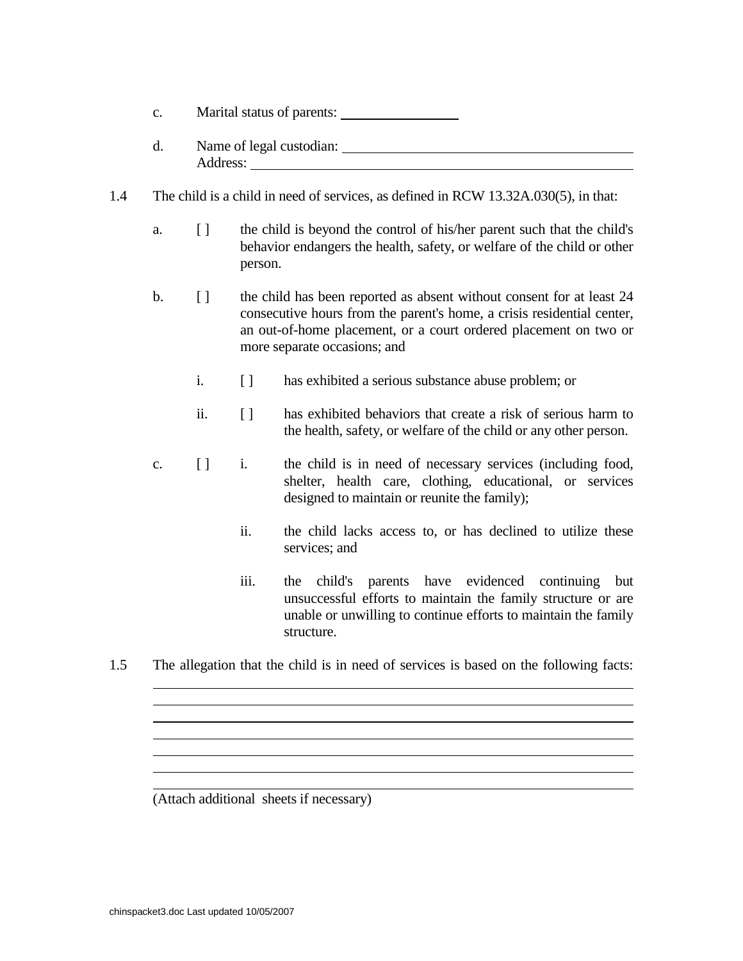- c. Marital status of parents:
- d. Name of legal custodian: Address:
- 1.4 The child is a child in need of services, as defined in RCW 13.32A.030(5), in that:
	- a. [ ] the child is beyond the control of his/her parent such that the child's behavior endangers the health, safety, or welfare of the child or other person.
	- b. [ ] the child has been reported as absent without consent for at least 24 consecutive hours from the parent's home, a crisis residential center, an out-of-home placement, or a court ordered placement on two or more separate occasions; and
		- i. [ ] has exhibited a serious substance abuse problem; or
		- ii. [ ] has exhibited behaviors that create a risk of serious harm to the health, safety, or welfare of the child or any other person.
	- c. [ ] i. the child is in need of necessary services (including food, shelter, health care, clothing, educational, or services designed to maintain or reunite the family);
		- ii. the child lacks access to, or has declined to utilize these services; and
		- iii. the child's parents have evidenced continuing but unsuccessful efforts to maintain the family structure or are unable or unwilling to continue efforts to maintain the family structure.

l,

1.5 The allegation that the child is in need of services is based on the following facts:

(Attach additional sheets if necessary)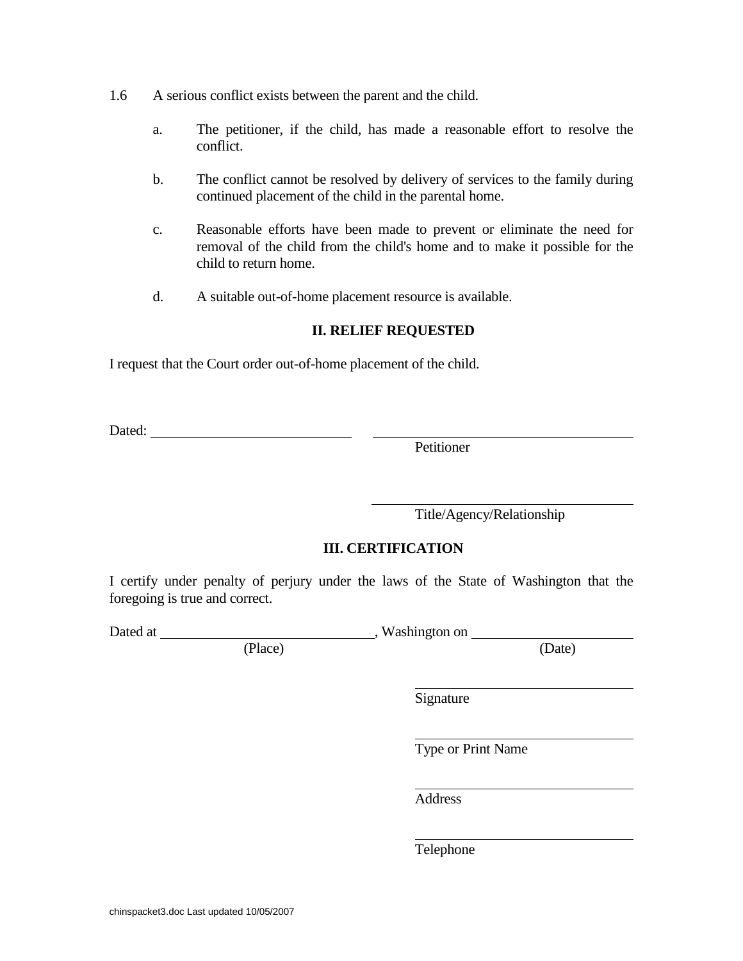- 1.6 A serious conflict exists between the parent and the child.
	- a. The petitioner, if the child, has made a reasonable effort to resolve the conflict.
	- b. The conflict cannot be resolved by delivery of services to the family during continued placement of the child in the parental home.
	- c. Reasonable efforts have been made to prevent or eliminate the need for removal of the child from the child's home and to make it possible for the child to return home.
	- d. A suitable out-of-home placement resource is available.

### **II. RELIEF REQUESTED**

I request that the Court order out-of-home placement of the child.

Dated:

Petitioner

Title/Agency/Relationship

# **III. CERTIFICATION**

I certify under penalty of perjury under the laws of the State of Washington that the foregoing is true and correct.

Dated at , Washington on

(Place) (Date)

i<br>L

i<br>L

l,

Signature

Type or Print Name

Address

 $\overline{a}$ 

 $\overline{a}$ 

Telephone